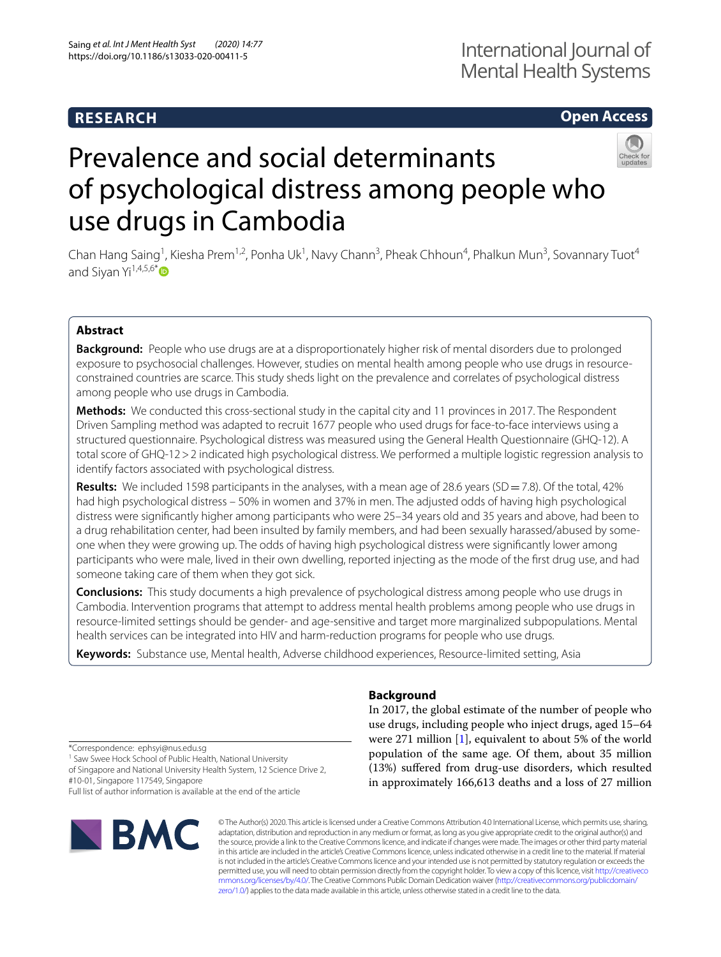# **RESEARCH**

# **Open Access**



# Prevalence and social determinants of psychological distress among people who use drugs in Cambodia

Chan Hang Saing<sup>1</sup>, Kiesha Prem<sup>1,2</sup>, Ponha Uk<sup>1</sup>, Navy Chann<sup>3</sup>, Pheak Chhoun<sup>4</sup>, Phalkun Mun<sup>3</sup>, Sovannary Tuot<sup>4</sup> and Sivan Yi<sup>1,4,5,6[\\*](http://orcid.org/0000-0002-3045-5386)</sup> $\bullet$ 

# **Abstract**

**Background:** People who use drugs are at a disproportionately higher risk of mental disorders due to prolonged exposure to psychosocial challenges. However, studies on mental health among people who use drugs in resourceconstrained countries are scarce. This study sheds light on the prevalence and correlates of psychological distress among people who use drugs in Cambodia.

**Methods:** We conducted this cross-sectional study in the capital city and 11 provinces in 2017. The Respondent Driven Sampling method was adapted to recruit 1677 people who used drugs for face-to-face interviews using a structured questionnaire. Psychological distress was measured using the General Health Questionnaire (GHQ-12). A total score of GHQ-12>2 indicated high psychological distress. We performed a multiple logistic regression analysis to identify factors associated with psychological distress.

**Results:** We included 1598 participants in the analyses, with a mean age of 28.6 years (SD = 7.8). Of the total, 42% had high psychological distress – 50% in women and 37% in men. The adjusted odds of having high psychological distress were signifcantly higher among participants who were 25–34 years old and 35 years and above, had been to a drug rehabilitation center, had been insulted by family members, and had been sexually harassed/abused by someone when they were growing up. The odds of having high psychological distress were signifcantly lower among participants who were male, lived in their own dwelling, reported injecting as the mode of the frst drug use, and had someone taking care of them when they got sick.

**Conclusions:** This study documents a high prevalence of psychological distress among people who use drugs in Cambodia. Intervention programs that attempt to address mental health problems among people who use drugs in resource-limited settings should be gender- and age-sensitive and target more marginalized subpopulations. Mental health services can be integrated into HIV and harm-reduction programs for people who use drugs.

**Keywords:** Substance use, Mental health, Adverse childhood experiences, Resource-limited setting, Asia

# **Background**

In 2017, the global estimate of the number of people who use drugs, including people who inject drugs, aged 15–64 were 271 million [\[1](#page-8-0)], equivalent to about 5% of the world population of the same age. Of them, about 35 million (13%) sufered from drug-use disorders, which resulted in approximately 166,613 deaths and a loss of 27 million

\*Correspondence: ephsyi@nus.edu.sg

<sup>1</sup> Saw Swee Hock School of Public Health, National University of Singapore and National University Health System, 12 Science Drive 2,

#10-01, Singapore 117549, Singapore Full list of author information is available at the end of the article



© The Author(s) 2020. This article is licensed under a Creative Commons Attribution 4.0 International License, which permits use, sharing, adaptation, distribution and reproduction in any medium or format, as long as you give appropriate credit to the original author(s) and the source, provide a link to the Creative Commons licence, and indicate if changes were made. The images or other third party material in this article are included in the article's Creative Commons licence, unless indicated otherwise in a credit line to the material. If material is not included in the article's Creative Commons licence and your intended use is not permitted by statutory regulation or exceeds the permitted use, you will need to obtain permission directly from the copyright holder. To view a copy of this licence, visit [http://creativeco](http://creativecommons.org/licenses/by/4.0/) [mmons.org/licenses/by/4.0/.](http://creativecommons.org/licenses/by/4.0/) The Creative Commons Public Domain Dedication waiver ([http://creativecommons.org/publicdomain/](http://creativecommons.org/publicdomain/zero/1.0/) [zero/1.0/\)](http://creativecommons.org/publicdomain/zero/1.0/) applies to the data made available in this article, unless otherwise stated in a credit line to the data.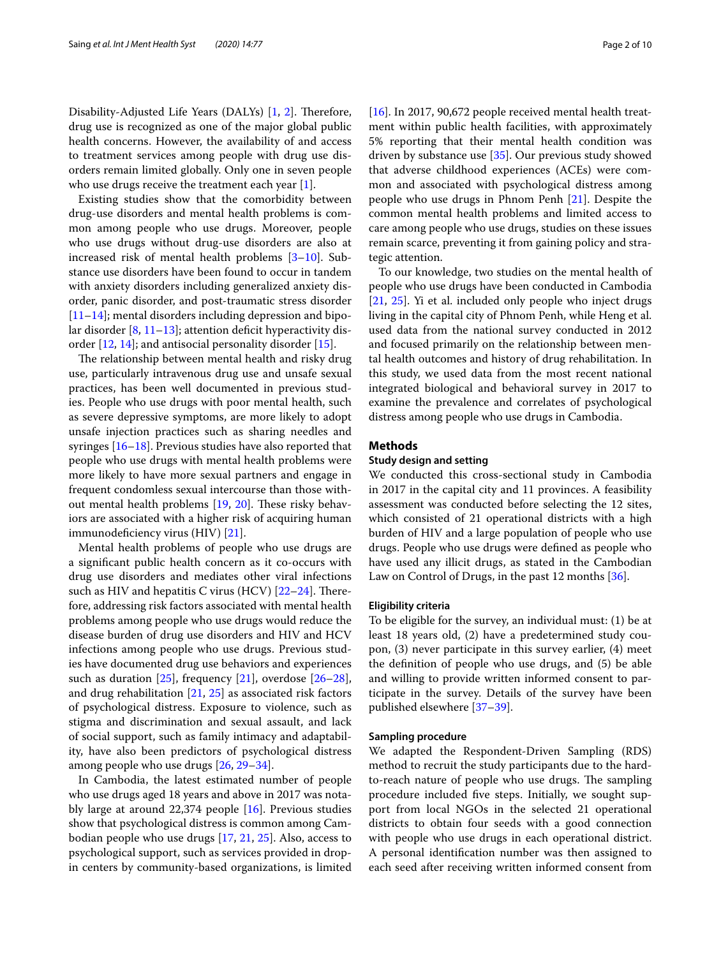Disability-Adjusted Life Years (DALYs) [\[1](#page-8-0), [2\]](#page-8-1). Therefore, drug use is recognized as one of the major global public health concerns. However, the availability of and access to treatment services among people with drug use disorders remain limited globally. Only one in seven people who use drugs receive the treatment each year [[1\]](#page-8-0).

Existing studies show that the comorbidity between drug-use disorders and mental health problems is common among people who use drugs. Moreover, people who use drugs without drug-use disorders are also at increased risk of mental health problems [\[3–](#page-8-2)[10\]](#page-8-3). Substance use disorders have been found to occur in tandem with anxiety disorders including generalized anxiety disorder, panic disorder, and post-traumatic stress disorder [[11–](#page-8-4)[14](#page-8-5)]; mental disorders including depression and bipolar disorder  $[8, 11-13]$  $[8, 11-13]$  $[8, 11-13]$ ; attention deficit hyperactivity disorder [[12](#page-8-8), [14\]](#page-8-5); and antisocial personality disorder [[15\]](#page-8-9).

The relationship between mental health and risky drug use, particularly intravenous drug use and unsafe sexual practices, has been well documented in previous studies. People who use drugs with poor mental health, such as severe depressive symptoms, are more likely to adopt unsafe injection practices such as sharing needles and syringes [[16](#page-8-10)[–18](#page-8-11)]. Previous studies have also reported that people who use drugs with mental health problems were more likely to have more sexual partners and engage in frequent condomless sexual intercourse than those with-out mental health problems [[19,](#page-8-12) [20](#page-8-13)]. These risky behaviors are associated with a higher risk of acquiring human immunodeficiency virus (HIV) [\[21\]](#page-8-14).

Mental health problems of people who use drugs are a signifcant public health concern as it co-occurs with drug use disorders and mediates other viral infections such as HIV and hepatitis C virus (HCV)  $[22-24]$  $[22-24]$ . Therefore, addressing risk factors associated with mental health problems among people who use drugs would reduce the disease burden of drug use disorders and HIV and HCV infections among people who use drugs. Previous studies have documented drug use behaviors and experiences such as duration  $[25]$ , frequency  $[21]$  $[21]$ , overdose  $[26-28]$  $[26-28]$  $[26-28]$ , and drug rehabilitation [[21,](#page-8-14) [25\]](#page-8-17) as associated risk factors of psychological distress. Exposure to violence, such as stigma and discrimination and sexual assault, and lack of social support, such as family intimacy and adaptability, have also been predictors of psychological distress among people who use drugs [\[26,](#page-8-18) [29](#page-8-20)[–34](#page-8-21)].

In Cambodia, the latest estimated number of people who use drugs aged 18 years and above in 2017 was notably large at around 22,374 people [\[16](#page-8-10)]. Previous studies show that psychological distress is common among Cambodian people who use drugs [\[17](#page-8-22), [21,](#page-8-14) [25\]](#page-8-17). Also, access to psychological support, such as services provided in dropin centers by community-based organizations, is limited [ $16$ ]. In 2017, 90,672 people received mental health treatment within public health facilities, with approximately 5% reporting that their mental health condition was driven by substance use [[35\]](#page-8-23). Our previous study showed that adverse childhood experiences (ACEs) were common and associated with psychological distress among people who use drugs in Phnom Penh [\[21](#page-8-14)]. Despite the common mental health problems and limited access to care among people who use drugs, studies on these issues remain scarce, preventing it from gaining policy and strategic attention.

To our knowledge, two studies on the mental health of people who use drugs have been conducted in Cambodia [[21,](#page-8-14) [25](#page-8-17)]. Yi et al. included only people who inject drugs living in the capital city of Phnom Penh, while Heng et al. used data from the national survey conducted in 2012 and focused primarily on the relationship between mental health outcomes and history of drug rehabilitation. In this study, we used data from the most recent national integrated biological and behavioral survey in 2017 to examine the prevalence and correlates of psychological distress among people who use drugs in Cambodia.

#### **Methods**

# **Study design and setting**

We conducted this cross-sectional study in Cambodia in 2017 in the capital city and 11 provinces. A feasibility assessment was conducted before selecting the 12 sites, which consisted of 21 operational districts with a high burden of HIV and a large population of people who use drugs. People who use drugs were defned as people who have used any illicit drugs, as stated in the Cambodian Law on Control of Drugs, in the past 12 months [\[36\]](#page-8-24).

# **Eligibility criteria**

To be eligible for the survey, an individual must: (1) be at least 18 years old, (2) have a predetermined study coupon, (3) never participate in this survey earlier, (4) meet the defnition of people who use drugs, and (5) be able and willing to provide written informed consent to participate in the survey. Details of the survey have been published elsewhere [[37–](#page-8-25)[39\]](#page-8-26).

## **Sampling procedure**

We adapted the Respondent-Driven Sampling (RDS) method to recruit the study participants due to the hardto-reach nature of people who use drugs. The sampling procedure included fve steps. Initially, we sought support from local NGOs in the selected 21 operational districts to obtain four seeds with a good connection with people who use drugs in each operational district. A personal identifcation number was then assigned to each seed after receiving written informed consent from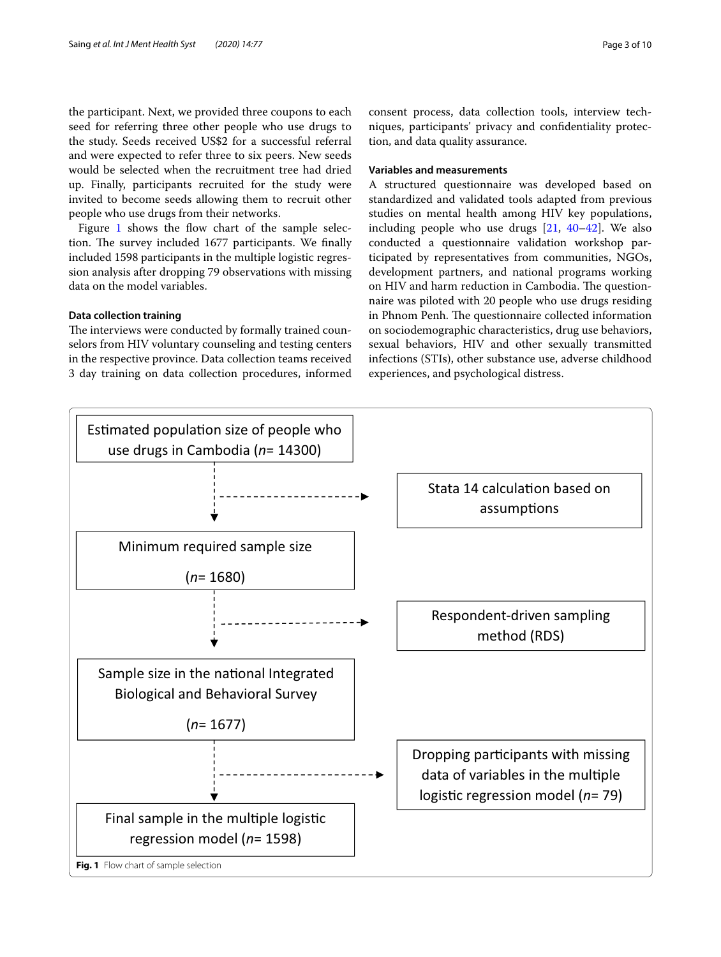the participant. Next, we provided three coupons to each seed for referring three other people who use drugs to the study. Seeds received US\$2 for a successful referral and were expected to refer three to six peers. New seeds would be selected when the recruitment tree had dried up. Finally, participants recruited for the study were invited to become seeds allowing them to recruit other people who use drugs from their networks.

Figure [1](#page-2-0) shows the flow chart of the sample selection. The survey included 1677 participants. We finally included 1598 participants in the multiple logistic regression analysis after dropping 79 observations with missing data on the model variables.

# **Data collection training**

The interviews were conducted by formally trained counselors from HIV voluntary counseling and testing centers in the respective province. Data collection teams received 3 day training on data collection procedures, informed consent process, data collection tools, interview techniques, participants' privacy and confdentiality protection, and data quality assurance.

# **Variables and measurements**

A structured questionnaire was developed based on standardized and validated tools adapted from previous studies on mental health among HIV key populations, including people who use drugs  $[21, 40-42]$  $[21, 40-42]$  $[21, 40-42]$  $[21, 40-42]$  $[21, 40-42]$ . We also conducted a questionnaire validation workshop participated by representatives from communities, NGOs, development partners, and national programs working on HIV and harm reduction in Cambodia. The questionnaire was piloted with 20 people who use drugs residing in Phnom Penh. The questionnaire collected information on sociodemographic characteristics, drug use behaviors, sexual behaviors, HIV and other sexually transmitted infections (STIs), other substance use, adverse childhood experiences, and psychological distress.

<span id="page-2-0"></span>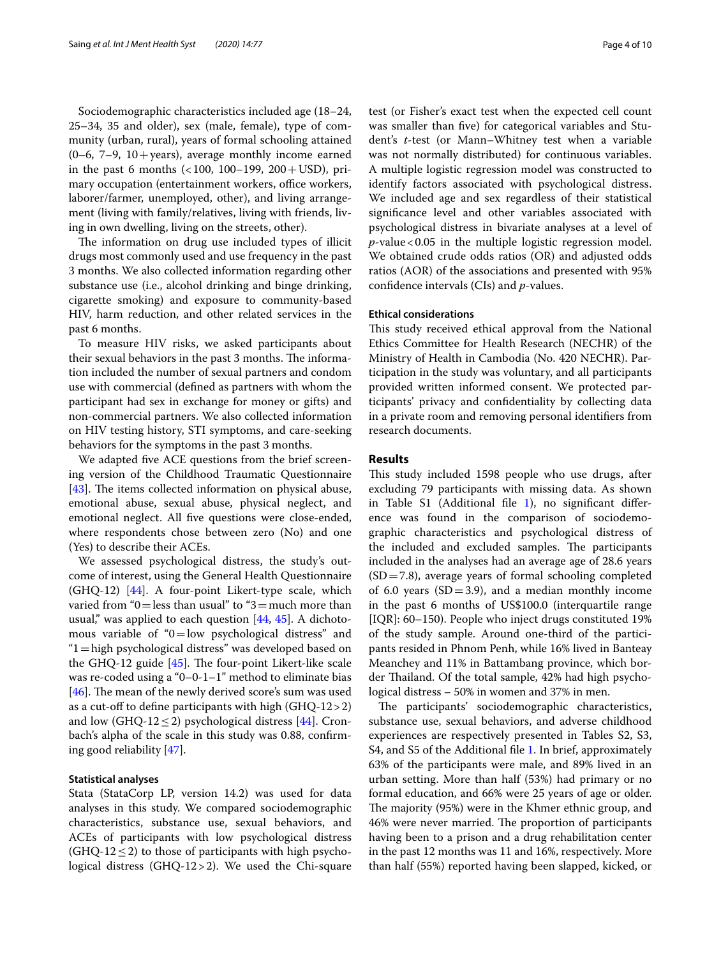Sociodemographic characteristics included age (18–24, 25–34, 35 and older), sex (male, female), type of community (urban, rural), years of formal schooling attained  $(0-6, 7-9, 10+years)$ , average monthly income earned in the past 6 months (<100, 100–199, 200+USD), primary occupation (entertainment workers, office workers, laborer/farmer, unemployed, other), and living arrangement (living with family/relatives, living with friends, living in own dwelling, living on the streets, other).

The information on drug use included types of illicit drugs most commonly used and use frequency in the past 3 months. We also collected information regarding other substance use (i.e., alcohol drinking and binge drinking, cigarette smoking) and exposure to community-based HIV, harm reduction, and other related services in the past 6 months.

To measure HIV risks, we asked participants about their sexual behaviors in the past 3 months. The information included the number of sexual partners and condom use with commercial (defned as partners with whom the participant had sex in exchange for money or gifts) and non-commercial partners. We also collected information on HIV testing history, STI symptoms, and care-seeking behaviors for the symptoms in the past 3 months.

We adapted fve ACE questions from the brief screening version of the Childhood Traumatic Questionnaire [ $43$ ]. The items collected information on physical abuse, emotional abuse, sexual abuse, physical neglect, and emotional neglect. All five questions were close-ended, where respondents chose between zero (No) and one (Yes) to describe their ACEs.

We assessed psychological distress, the study's outcome of interest, using the General Health Questionnaire (GHQ-12) [\[44](#page-8-30)]. A four-point Likert-type scale, which varied from "0=less than usual" to "3=much more than usual," was applied to each question [\[44](#page-8-30), [45](#page-9-0)]. A dichotomous variable of " $0=$ low psychological distress" and "1=high psychological distress" was developed based on the GHQ-12 guide  $[45]$  $[45]$  $[45]$ . The four-point Likert-like scale was re-coded using a "0–0-1–1" method to eliminate bias [ $46$ ]. The mean of the newly derived score's sum was used as a cut-off to define participants with high  $(GHQ-12>2)$ and low (GHQ-12 $\leq$ 2) psychological distress [[44\]](#page-8-30). Cronbach's alpha of the scale in this study was 0.88, confrming good reliability [[47](#page-9-2)].

# **Statistical analyses**

Stata (StataCorp LP, version 14.2) was used for data analyses in this study. We compared sociodemographic characteristics, substance use, sexual behaviors, and ACEs of participants with low psychological distress  $(HQ-12 \leq 2)$  to those of participants with high psychological distress (GHQ-12>2). We used the Chi-square test (or Fisher's exact test when the expected cell count was smaller than five) for categorical variables and Student's *t*-test (or Mann–Whitney test when a variable was not normally distributed) for continuous variables. A multiple logistic regression model was constructed to identify factors associated with psychological distress. We included age and sex regardless of their statistical signifcance level and other variables associated with psychological distress in bivariate analyses at a level of *p*-value<0.05 in the multiple logistic regression model. We obtained crude odds ratios (OR) and adjusted odds ratios (AOR) of the associations and presented with 95% confdence intervals (CIs) and *p*-values.

#### **Ethical considerations**

This study received ethical approval from the National Ethics Committee for Health Research (NECHR) of the Ministry of Health in Cambodia (No. 420 NECHR). Participation in the study was voluntary, and all participants provided written informed consent. We protected participants' privacy and confdentiality by collecting data in a private room and removing personal identifers from research documents.

## **Results**

This study included 1598 people who use drugs, after excluding 79 participants with missing data. As shown in Table S1 (Additional fle [1\)](#page-7-0), no signifcant diference was found in the comparison of sociodemographic characteristics and psychological distress of the included and excluded samples. The participants included in the analyses had an average age of 28.6 years  $(SD=7.8)$ , average years of formal schooling completed of 6.0 years  $(SD=3.9)$ , and a median monthly income in the past 6 months of US\$100.0 (interquartile range [IQR]: 60–150). People who inject drugs constituted 19% of the study sample. Around one-third of the participants resided in Phnom Penh, while 16% lived in Banteay Meanchey and 11% in Battambang province, which border Thailand. Of the total sample, 42% had high psychological distress – 50% in women and 37% in men.

The participants' sociodemographic characteristics, substance use, sexual behaviors, and adverse childhood experiences are respectively presented in Tables S2, S3, S4, and S5 of the Additional fle [1.](#page-7-0) In brief, approximately 63% of the participants were male, and 89% lived in an urban setting. More than half (53%) had primary or no formal education, and 66% were 25 years of age or older. The majority (95%) were in the Khmer ethnic group, and 46% were never married. The proportion of participants having been to a prison and a drug rehabilitation center in the past 12 months was 11 and 16%, respectively. More than half (55%) reported having been slapped, kicked, or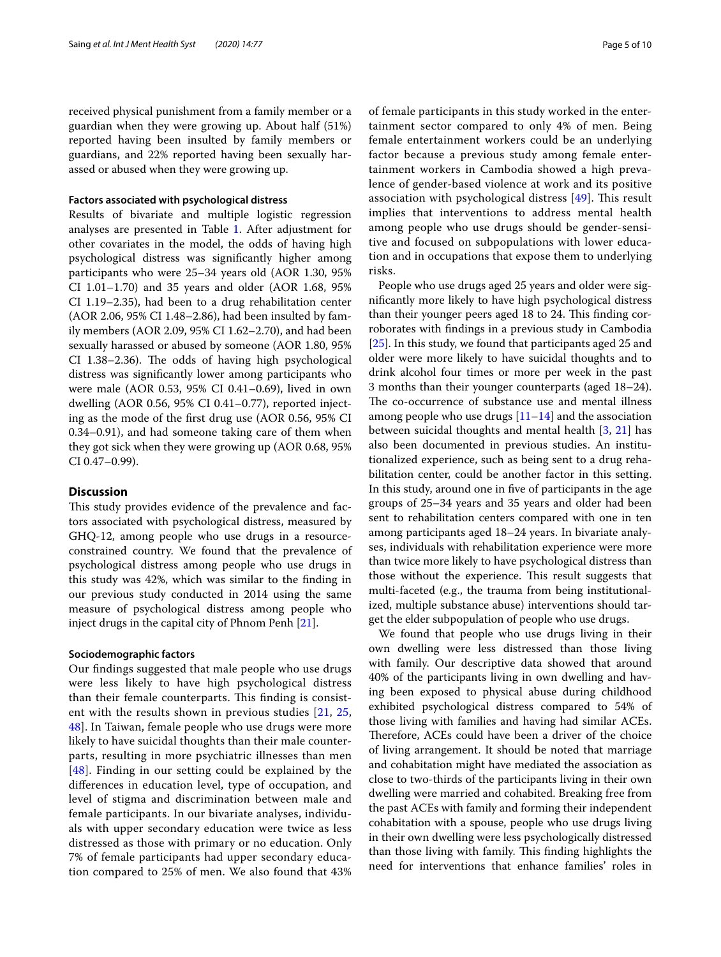received physical punishment from a family member or a guardian when they were growing up. About half (51%) reported having been insulted by family members or guardians, and 22% reported having been sexually harassed or abused when they were growing up.

# **Factors associated with psychological distress**

Results of bivariate and multiple logistic regression analyses are presented in Table [1.](#page-5-0) After adjustment for other covariates in the model, the odds of having high psychological distress was signifcantly higher among participants who were 25–34 years old (AOR 1.30, 95% CI 1.01–1.70) and 35 years and older (AOR 1.68, 95% CI 1.19–2.35), had been to a drug rehabilitation center (AOR 2.06, 95% CI 1.48–2.86), had been insulted by family members (AOR 2.09, 95% CI 1.62–2.70), and had been sexually harassed or abused by someone (AOR 1.80, 95% CI 1.38–2.36). The odds of having high psychological distress was signifcantly lower among participants who were male (AOR 0.53, 95% CI 0.41–0.69), lived in own dwelling (AOR 0.56, 95% CI 0.41–0.77), reported injecting as the mode of the frst drug use (AOR 0.56, 95% CI 0.34–0.91), and had someone taking care of them when they got sick when they were growing up (AOR 0.68, 95% CI 0.47–0.99).

# **Discussion**

This study provides evidence of the prevalence and factors associated with psychological distress, measured by GHQ-12, among people who use drugs in a resourceconstrained country. We found that the prevalence of psychological distress among people who use drugs in this study was 42%, which was similar to the fnding in our previous study conducted in 2014 using the same measure of psychological distress among people who inject drugs in the capital city of Phnom Penh [\[21\]](#page-8-14).

#### **Sociodemographic factors**

Our fndings suggested that male people who use drugs were less likely to have high psychological distress than their female counterparts. This finding is consistent with the results shown in previous studies [\[21](#page-8-14), [25](#page-8-17), [48\]](#page-9-3). In Taiwan, female people who use drugs were more likely to have suicidal thoughts than their male counterparts, resulting in more psychiatric illnesses than men [[48](#page-9-3)]. Finding in our setting could be explained by the diferences in education level, type of occupation, and level of stigma and discrimination between male and female participants. In our bivariate analyses, individuals with upper secondary education were twice as less distressed as those with primary or no education. Only 7% of female participants had upper secondary education compared to 25% of men. We also found that 43% of female participants in this study worked in the entertainment sector compared to only 4% of men. Being female entertainment workers could be an underlying factor because a previous study among female entertainment workers in Cambodia showed a high prevalence of gender-based violence at work and its positive association with psychological distress  $[49]$  $[49]$  $[49]$ . This result implies that interventions to address mental health among people who use drugs should be gender-sensitive and focused on subpopulations with lower education and in occupations that expose them to underlying risks.

People who use drugs aged 25 years and older were signifcantly more likely to have high psychological distress than their younger peers aged 18 to 24. This finding corroborates with fndings in a previous study in Cambodia [[25\]](#page-8-17). In this study, we found that participants aged 25 and older were more likely to have suicidal thoughts and to drink alcohol four times or more per week in the past 3 months than their younger counterparts (aged 18–24). The co-occurrence of substance use and mental illness among people who use drugs [\[11–](#page-8-4)[14\]](#page-8-5) and the association between suicidal thoughts and mental health [\[3](#page-8-2), [21](#page-8-14)] has also been documented in previous studies. An institutionalized experience, such as being sent to a drug rehabilitation center, could be another factor in this setting. In this study, around one in fve of participants in the age groups of 25–34 years and 35 years and older had been sent to rehabilitation centers compared with one in ten among participants aged 18–24 years. In bivariate analyses, individuals with rehabilitation experience were more than twice more likely to have psychological distress than those without the experience. This result suggests that multi-faceted (e.g., the trauma from being institutionalized, multiple substance abuse) interventions should target the elder subpopulation of people who use drugs.

We found that people who use drugs living in their own dwelling were less distressed than those living with family. Our descriptive data showed that around 40% of the participants living in own dwelling and having been exposed to physical abuse during childhood exhibited psychological distress compared to 54% of those living with families and having had similar ACEs. Therefore, ACEs could have been a driver of the choice of living arrangement. It should be noted that marriage and cohabitation might have mediated the association as close to two-thirds of the participants living in their own dwelling were married and cohabited. Breaking free from the past ACEs with family and forming their independent cohabitation with a spouse, people who use drugs living in their own dwelling were less psychologically distressed than those living with family. This finding highlights the need for interventions that enhance families' roles in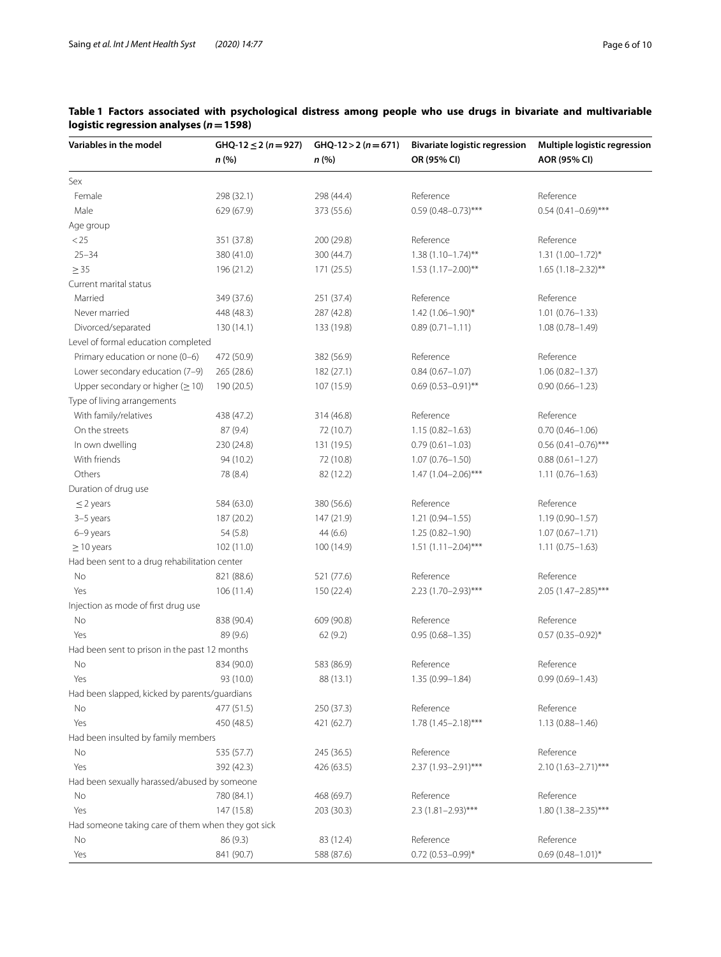| Variables in the model                             | GHQ-12 $\leq$ 2 (n = 927)<br>n(%) | $GHQ-12>2 (n=671)$<br>n(%) | <b>Bivariate logistic regression</b><br>OR (95% CI) | Multiple logistic regression<br>AOR (95% CI) |
|----------------------------------------------------|-----------------------------------|----------------------------|-----------------------------------------------------|----------------------------------------------|
|                                                    |                                   |                            |                                                     |                                              |
| Female                                             | 298 (32.1)                        | 298 (44.4)                 | Reference                                           | Reference                                    |
| Male                                               | 629 (67.9)                        | 373 (55.6)                 | $0.59(0.48 - 0.73)$ ***                             | $0.54(0.41 - 0.69)$ ***                      |
| Age group                                          |                                   |                            |                                                     |                                              |
| < 25                                               | 351 (37.8)                        | 200 (29.8)                 | Reference                                           | Reference                                    |
| $25 - 34$                                          | 380 (41.0)                        | 300 (44.7)                 | $1.38(1.10 - 1.74)$ **                              | $1.31(1.00 - 1.72)*$                         |
| $\geq$ 35                                          | 196 (21.2)                        | 171 (25.5)                 | $1.53(1.17 - 2.00)$ **                              | $1.65(1.18 - 2.32)$ **                       |
| Current marital status                             |                                   |                            |                                                     |                                              |
| Married                                            | 349 (37.6)                        | 251 (37.4)                 | Reference                                           | Reference                                    |
| Never married                                      | 448 (48.3)                        | 287 (42.8)                 | $1.42(1.06 - 1.90)^{*}$                             | $1.01(0.76 - 1.33)$                          |
| Divorced/separated                                 | 130 (14.1)                        | 133 (19.8)                 | $0.89(0.71 - 1.11)$                                 | $1.08(0.78 - 1.49)$                          |
| Level of formal education completed                |                                   |                            |                                                     |                                              |
| Primary education or none (0-6)                    | 472 (50.9)                        | 382 (56.9)                 | Reference                                           | Reference                                    |
| Lower secondary education (7-9)                    | 265 (28.6)                        | 182(27.1)                  | $0.84(0.67 - 1.07)$                                 | $1.06(0.82 - 1.37)$                          |
| Upper secondary or higher $( \geq 10)$             | 190 (20.5)                        | 107 (15.9)                 | $0.69(0.53 - 0.91)$ **                              | $0.90(0.66 - 1.23)$                          |
| Type of living arrangements                        |                                   |                            |                                                     |                                              |
| With family/relatives                              | 438 (47.2)                        | 314 (46.8)                 | Reference                                           | Reference                                    |
| On the streets                                     | 87(9.4)                           | 72 (10.7)                  | $1.15(0.82 - 1.63)$                                 | $0.70(0.46 - 1.06)$                          |
| In own dwelling                                    | 230 (24.8)                        | 131 (19.5)                 | $0.79(0.61 - 1.03)$                                 | $0.56$ (0.41-0.76)***                        |
| With friends                                       | 94 (10.2)                         | 72 (10.8)                  | $1.07(0.76 - 1.50)$                                 | $0.88(0.61 - 1.27)$                          |
| Others                                             | 78 (8.4)                          | 82 (12.2)                  | $1.47(1.04 - 2.06)$ ***                             | $1.11(0.76 - 1.63)$                          |
| Duration of drug use                               |                                   |                            |                                                     |                                              |
| $\leq$ 2 years                                     | 584 (63.0)                        | 380 (56.6)                 | Reference                                           | Reference                                    |
| 3-5 years                                          | 187 (20.2)                        | 147 (21.9)                 | $1.21(0.94 - 1.55)$                                 | $1.19(0.90 - 1.57)$                          |
| 6-9 years                                          | 54(5.8)                           | 44(6.6)                    | $1.25(0.82 - 1.90)$                                 | $1.07(0.67 - 1.71)$                          |
| $\geq$ 10 years                                    | 102 (11.0)                        | 100 (14.9)                 | $1.51(1.11-2.04)$ ***                               | $1.11(0.75 - 1.63)$                          |
| Had been sent to a drug rehabilitation center      |                                   |                            |                                                     |                                              |
| No                                                 | 821 (88.6)                        | 521 (77.6)                 | Reference                                           | Reference                                    |
| Yes                                                | 106(11.4)                         | 150 (22.4)                 | 2.23 (1.70-2.93)***                                 | 2.05 (1.47-2.85)***                          |
| Injection as mode of first drug use                |                                   |                            |                                                     |                                              |
| No                                                 | 838 (90.4)                        | 609 (90.8)                 | Reference                                           | Reference                                    |
| Yes                                                | 89 (9.6)                          | 62(9.2)                    | $0.95(0.68 - 1.35)$                                 | $0.57$ (0.35-0.92)*                          |
| Had been sent to prison in the past 12 months      |                                   |                            |                                                     |                                              |
| No                                                 | 834 (90.0)                        | 583 (86.9)                 | Reference                                           | Reference                                    |
| Yes                                                | 93 (10.0)                         | 88 (13.1)                  | 1.35 (0.99-1.84)                                    | $0.99(0.69 - 1.43)$                          |
| Had been slapped, kicked by parents/guardians      |                                   |                            |                                                     |                                              |
| No                                                 | 477 (51.5)                        | 250 (37.3)                 | Reference                                           | Reference                                    |
| Yes                                                | 450 (48.5)                        | 421 (62.7)                 | $1.78(1.45 - 2.18)$ ***                             | $1.13(0.88 - 1.46)$                          |
| Had been insulted by family members                |                                   |                            |                                                     |                                              |
| No                                                 | 535 (57.7)                        | 245 (36.5)                 | Reference                                           | Reference                                    |
| Yes                                                | 392 (42.3)                        | 426 (63.5)                 | 2.37 (1.93-2.91)***                                 | $2.10(1.63 - 2.71)$ ***                      |
| Had been sexually harassed/abused by someone       |                                   |                            |                                                     |                                              |
|                                                    | 780 (84.1)                        |                            | Reference                                           |                                              |
| No                                                 | 147 (15.8)                        | 468 (69.7)<br>203 (30.3)   | $2.3(1.81 - 2.93)$ ***                              | Reference<br>1.80 (1.38-2.35)***             |
| Yes                                                |                                   |                            |                                                     |                                              |
| Had someone taking care of them when they got sick | 86 (9.3)                          | 83 (12.4)                  | Reference                                           | Reference                                    |
| No                                                 |                                   |                            |                                                     |                                              |
| Yes                                                | 841 (90.7)                        | 588 (87.6)                 | $0.72(0.53 - 0.99)^*$                               | $0.69(0.48 - 1.01)^*$                        |

# <span id="page-5-0"></span>**Table 1 Factors associated with psychological distress among people who use drugs in bivariate and multivariable logistic regression analyses (***n***=1598)**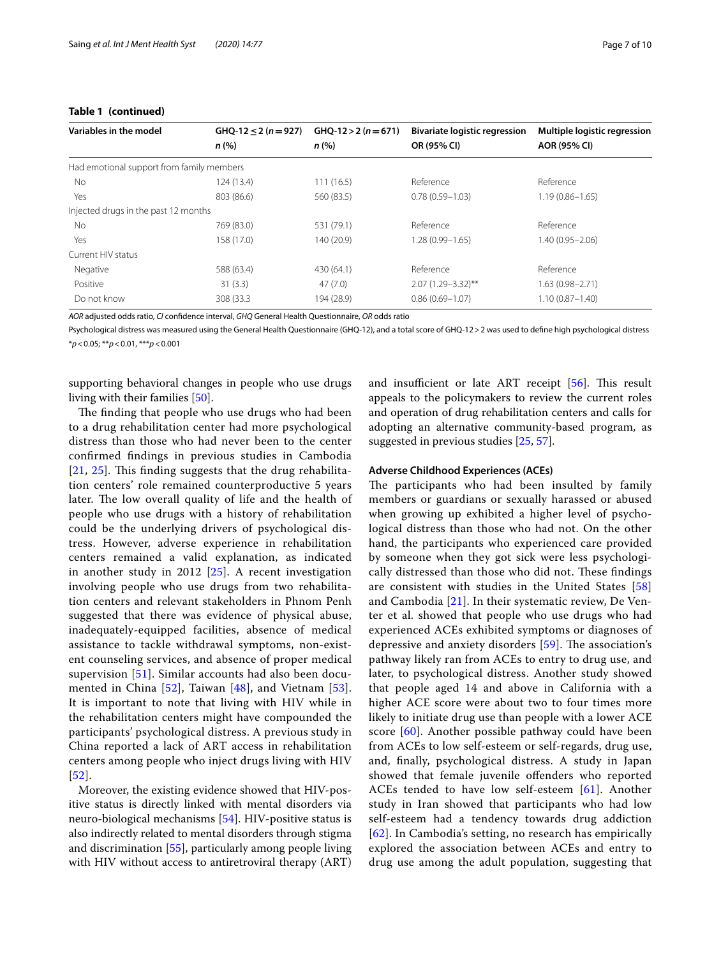| Variables in the model                    | $GHQ-12 \leq 2 (n=927)$ | $GHO-12 > 2 (n=671)$<br>n (%) | <b>Bivariate logistic regression</b><br>OR (95% CI) | Multiple logistic regression<br>AOR (95% CI) |
|-------------------------------------------|-------------------------|-------------------------------|-----------------------------------------------------|----------------------------------------------|
|                                           | n(%)                    |                               |                                                     |                                              |
| Had emotional support from family members |                         |                               |                                                     |                                              |
| No.                                       | 124 (13.4)              | 111(16.5)                     | Reference                                           | Reference                                    |
| Yes                                       | 803 (86.6)              | 560 (83.5)                    | $0.78(0.59 - 1.03)$                                 | $1.19(0.86 - 1.65)$                          |
| Injected drugs in the past 12 months      |                         |                               |                                                     |                                              |
| <b>No</b>                                 | 769 (83.0)              | 531 (79.1)                    | Reference                                           | Reference                                    |
| Yes                                       | 158 (17.0)              | 140 (20.9)                    | $1.28(0.99 - 1.65)$                                 | $1.40(0.95 - 2.06)$                          |
| Current HIV status                        |                         |                               |                                                     |                                              |
| Negative                                  | 588 (63.4)              | 430 (64.1)                    | Reference                                           | Reference                                    |
| Positive                                  | 31(3.3)                 | 47(7.0)                       | $2.07(1.29 - 3.32)$ **                              | $1.63(0.98 - 2.71)$                          |
| Do not know                               | 308 (33.3)              | 194 (28.9)                    | $0.86(0.69 - 1.07)$                                 | $1.10(0.87 - 1.40)$                          |

# **Table 1 (continued)**

*AOR* adjusted odds ratio, *CI* confdence interval, *GHQ* General Health Questionnaire, *OR* odds ratio

Psychological distress was measured using the General Health Questionnaire (GHQ-12), and a total score of GHQ-12>2 was used to defne high psychological distress \**p*<0.05; \*\**p*<0.01, \*\*\**p*<0.001

supporting behavioral changes in people who use drugs living with their families [\[50](#page-9-5)].

The finding that people who use drugs who had been to a drug rehabilitation center had more psychological distress than those who had never been to the center confrmed fndings in previous studies in Cambodia  $[21, 25]$  $[21, 25]$  $[21, 25]$  $[21, 25]$ . This finding suggests that the drug rehabilitation centers' role remained counterproductive 5 years later. The low overall quality of life and the health of people who use drugs with a history of rehabilitation could be the underlying drivers of psychological distress. However, adverse experience in rehabilitation centers remained a valid explanation, as indicated in another study in 2012 [[25](#page-8-17)]. A recent investigation involving people who use drugs from two rehabilitation centers and relevant stakeholders in Phnom Penh suggested that there was evidence of physical abuse, inadequately-equipped facilities, absence of medical assistance to tackle withdrawal symptoms, non-existent counseling services, and absence of proper medical supervision [[51](#page-9-6)]. Similar accounts had also been documented in China  $[52]$  $[52]$ , Taiwan  $[48]$ , and Vietnam  $[53]$  $[53]$ . It is important to note that living with HIV while in the rehabilitation centers might have compounded the participants' psychological distress. A previous study in China reported a lack of ART access in rehabilitation centers among people who inject drugs living with HIV [[52](#page-9-7)].

Moreover, the existing evidence showed that HIV-positive status is directly linked with mental disorders via neuro-biological mechanisms [[54\]](#page-9-9). HIV-positive status is also indirectly related to mental disorders through stigma and discrimination [\[55\]](#page-9-10), particularly among people living with HIV without access to antiretroviral therapy (ART) and insufficient or late ART receipt  $[56]$ . This result appeals to the policymakers to review the current roles and operation of drug rehabilitation centers and calls for adopting an alternative community-based program, as suggested in previous studies [[25,](#page-8-17) [57](#page-9-12)].

#### **Adverse Childhood Experiences (ACEs)**

The participants who had been insulted by family members or guardians or sexually harassed or abused when growing up exhibited a higher level of psychological distress than those who had not. On the other hand, the participants who experienced care provided by someone when they got sick were less psychologically distressed than those who did not. These findings are consistent with studies in the United States [\[58](#page-9-13)] and Cambodia [\[21](#page-8-14)]. In their systematic review, De Venter et al. showed that people who use drugs who had experienced ACEs exhibited symptoms or diagnoses of depressive and anxiety disorders [[59](#page-9-14)]. The association's pathway likely ran from ACEs to entry to drug use, and later, to psychological distress. Another study showed that people aged 14 and above in California with a higher ACE score were about two to four times more likely to initiate drug use than people with a lower ACE score [[60\]](#page-9-15). Another possible pathway could have been from ACEs to low self-esteem or self-regards, drug use, and, fnally, psychological distress. A study in Japan showed that female juvenile offenders who reported ACEs tended to have low self-esteem [\[61\]](#page-9-16). Another study in Iran showed that participants who had low self-esteem had a tendency towards drug addiction [[62](#page-9-17)]. In Cambodia's setting, no research has empirically explored the association between ACEs and entry to drug use among the adult population, suggesting that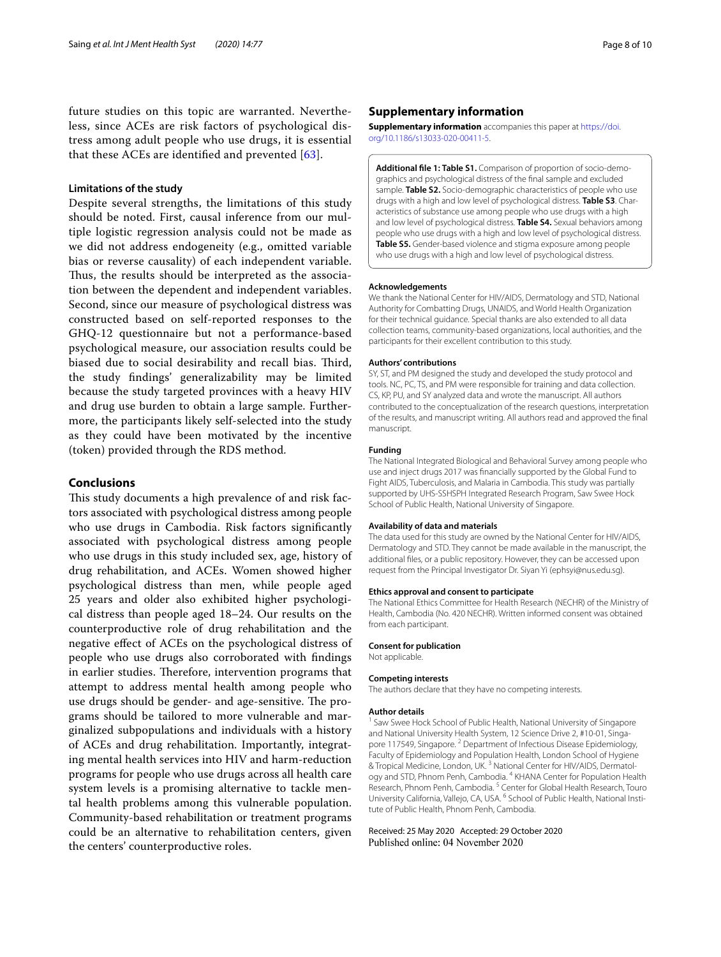future studies on this topic are warranted. Nevertheless, since ACEs are risk factors of psychological distress among adult people who use drugs, it is essential that these ACEs are identifed and prevented [\[63](#page-9-18)].

#### **Limitations of the study**

Despite several strengths, the limitations of this study should be noted. First, causal inference from our multiple logistic regression analysis could not be made as we did not address endogeneity (e.g., omitted variable bias or reverse causality) of each independent variable. Thus, the results should be interpreted as the association between the dependent and independent variables. Second, since our measure of psychological distress was constructed based on self-reported responses to the GHQ-12 questionnaire but not a performance-based psychological measure, our association results could be biased due to social desirability and recall bias. Third, the study fndings' generalizability may be limited because the study targeted provinces with a heavy HIV and drug use burden to obtain a large sample. Furthermore, the participants likely self-selected into the study as they could have been motivated by the incentive (token) provided through the RDS method.

# **Conclusions**

This study documents a high prevalence of and risk factors associated with psychological distress among people who use drugs in Cambodia. Risk factors signifcantly associated with psychological distress among people who use drugs in this study included sex, age, history of drug rehabilitation, and ACEs. Women showed higher psychological distress than men, while people aged 25 years and older also exhibited higher psychological distress than people aged 18–24. Our results on the counterproductive role of drug rehabilitation and the negative efect of ACEs on the psychological distress of people who use drugs also corroborated with fndings in earlier studies. Therefore, intervention programs that attempt to address mental health among people who use drugs should be gender- and age-sensitive. The programs should be tailored to more vulnerable and marginalized subpopulations and individuals with a history of ACEs and drug rehabilitation. Importantly, integrating mental health services into HIV and harm-reduction programs for people who use drugs across all health care system levels is a promising alternative to tackle mental health problems among this vulnerable population. Community-based rehabilitation or treatment programs could be an alternative to rehabilitation centers, given the centers' counterproductive roles.

# **Supplementary information**

**Supplementary information** accompanies this paper at [https://doi.](https://doi.org/10.1186/s13033-020-00411-5) [org/10.1186/s13033-020-00411-5](https://doi.org/10.1186/s13033-020-00411-5).

<span id="page-7-0"></span>**Additional fle 1: Table S1.** Comparison of proportion of socio-demographics and psychological distress of the fnal sample and excluded sample. **Table S2.** Socio-demographic characteristics of people who use drugs with a high and low level of psychological distress. **Table S3**. Characteristics of substance use among people who use drugs with a high and low level of psychological distress. **Table S4.** Sexual behaviors among people who use drugs with a high and low level of psychological distress. **Table S5.** Gender-based violence and stigma exposure among people who use drugs with a high and low level of psychological distress.

#### **Acknowledgements**

We thank the National Center for HIV/AIDS, Dermatology and STD, National Authority for Combatting Drugs, UNAIDS, and World Health Organization for their technical guidance. Special thanks are also extended to all data collection teams, community-based organizations, local authorities, and the participants for their excellent contribution to this study.

#### **Authors' contributions**

SY, ST, and PM designed the study and developed the study protocol and tools. NC, PC, TS, and PM were responsible for training and data collection. CS, KP, PU, and SY analyzed data and wrote the manuscript. All authors contributed to the conceptualization of the research questions, interpretation of the results, and manuscript writing. All authors read and approved the fnal manuscript.

#### **Funding**

The National Integrated Biological and Behavioral Survey among people who use and inject drugs 2017 was fnancially supported by the Global Fund to Fight AIDS, Tuberculosis, and Malaria in Cambodia. This study was partially supported by UHS-SSHSPH Integrated Research Program, Saw Swee Hock School of Public Health, National University of Singapore.

#### **Availability of data and materials**

The data used for this study are owned by the National Center for HIV/AIDS, Dermatology and STD. They cannot be made available in the manuscript, the additional fles, or a public repository. However, they can be accessed upon request from the Principal Investigator Dr. Siyan Yi (ephsyi@nus.edu.sg).

#### **Ethics approval and consent to participate**

The National Ethics Committee for Health Research (NECHR) of the Ministry of Health, Cambodia (No. 420 NECHR). Written informed consent was obtained from each participant.

#### **Consent for publication**

Not applicable.

#### **Competing interests**

The authors declare that they have no competing interests.

#### **Author details**

<sup>1</sup> Saw Swee Hock School of Public Health, National University of Singapore and National University Health System, 12 Science Drive 2, #10-01, Singapore 117549, Singapore. <sup>2</sup> Department of Infectious Disease Epidemiology, Faculty of Epidemiology and Population Health, London School of Hygiene & Tropical Medicine, London, UK. 3 National Center for HIV/AIDS, Dermatology and STD, Phnom Penh, Cambodia. <sup>4</sup> KHANA Center for Population Health Research, Phnom Penh, Cambodia. 5 Center for Global Health Research, Touro University California, Vallejo, CA, USA. 6 School of Public Health, National Institute of Public Health, Phnom Penh, Cambodia.

#### Received: 25 May 2020 Accepted: 29 October 2020Published online: 04 November 2020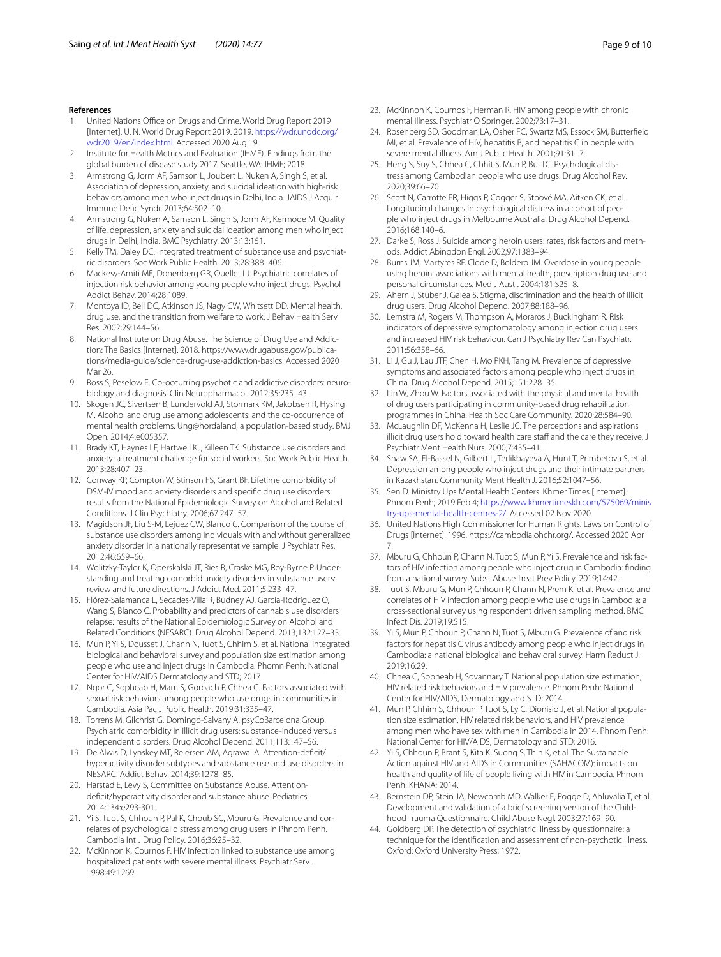#### **References**

- <span id="page-8-0"></span>1. United Nations Office on Drugs and Crime. World Drug Report 2019 [Internet]. U. N. World Drug Report 2019. 2019. [https://wdr.unodc.org/](https://wdr.unodc.org/wdr2019/en/index.html) [wdr2019/en/index.html.](https://wdr.unodc.org/wdr2019/en/index.html) Accessed 2020 Aug 19.
- <span id="page-8-1"></span>2. Institute for Health Metrics and Evaluation (IHME). Findings from the global burden of disease study 2017. Seattle, WA: IHME; 2018.
- <span id="page-8-2"></span>3. Armstrong G, Jorm AF, Samson L, Joubert L, Nuken A, Singh S, et al. Association of depression, anxiety, and suicidal ideation with high-risk behaviors among men who inject drugs in Delhi, India. JAIDS J Acquir Immune Defc Syndr. 2013;64:502–10.
- 4. Armstrong G, Nuken A, Samson L, Singh S, Jorm AF, Kermode M. Quality of life, depression, anxiety and suicidal ideation among men who inject drugs in Delhi, India. BMC Psychiatry. 2013;13:151.
- 5. Kelly TM, Daley DC. Integrated treatment of substance use and psychiatric disorders. Soc Work Public Health. 2013;28:388–406.
- 6. Mackesy-Amiti ME, Donenberg GR, Ouellet LJ. Psychiatric correlates of injection risk behavior among young people who inject drugs. Psychol Addict Behav. 2014;28:1089.
- 7. Montoya ID, Bell DC, Atkinson JS, Nagy CW, Whitsett DD. Mental health, drug use, and the transition from welfare to work. J Behav Health Serv Res. 2002;29:144–56.
- <span id="page-8-6"></span>8. National Institute on Drug Abuse. The Science of Drug Use and Addiction: The Basics [Internet]. 2018. https://www.drugabuse.gov/publications/media-guide/science-drug-use-addiction-basics. Accessed 2020 Mar 26.
- 9. Ross S, Peselow E. Co-occurring psychotic and addictive disorders: neurobiology and diagnosis. Clin Neuropharmacol. 2012;35:235–43.
- <span id="page-8-3"></span>10. Skogen JC, Sivertsen B, Lundervold AJ, Stormark KM, Jakobsen R, Hysing M. Alcohol and drug use among adolescents: and the co-occurrence of mental health problems. Ung@hordaland, a population-based study. BMJ Open. 2014;4:e005357.
- <span id="page-8-4"></span>11. Brady KT, Haynes LF, Hartwell KJ, Killeen TK. Substance use disorders and anxiety: a treatment challenge for social workers. Soc Work Public Health. 2013;28:407–23.
- <span id="page-8-8"></span>12. Conway KP, Compton W, Stinson FS, Grant BF. Lifetime comorbidity of DSM-IV mood and anxiety disorders and specifc drug use disorders: results from the National Epidemiologic Survey on Alcohol and Related Conditions. J Clin Psychiatry. 2006;67:247–57.
- <span id="page-8-7"></span>13. Magidson JF, Liu S-M, Lejuez CW, Blanco C. Comparison of the course of substance use disorders among individuals with and without generalized anxiety disorder in a nationally representative sample. J Psychiatr Res. 2012;46:659–66.
- <span id="page-8-5"></span>14. Wolitzky-Taylor K, Operskalski JT, Ries R, Craske MG, Roy-Byrne P. Understanding and treating comorbid anxiety disorders in substance users: review and future directions. J Addict Med. 2011;5:233–47.
- <span id="page-8-9"></span>15. Flórez-Salamanca L, Secades-Villa R, Budney AJ, García-Rodríguez O, Wang S, Blanco C. Probability and predictors of cannabis use disorders relapse: results of the National Epidemiologic Survey on Alcohol and Related Conditions (NESARC). Drug Alcohol Depend. 2013;132:127–33.
- <span id="page-8-10"></span>16. Mun P, Yi S, Dousset J, Chann N, Tuot S, Chhim S, et al. National integrated biological and behavioral survey and population size estimation among people who use and inject drugs in Cambodia. Phomn Penh: National Center for HIV/AIDS Dermatology and STD; 2017.
- <span id="page-8-22"></span>17. Ngor C, Sopheab H, Mam S, Gorbach P, Chhea C. Factors associated with sexual risk behaviors among people who use drugs in communities in Cambodia. Asia Pac J Public Health. 2019;31:335–47.
- <span id="page-8-11"></span>18. Torrens M, Gilchrist G, Domingo-Salvany A, psyCoBarcelona Group. Psychiatric comorbidity in illicit drug users: substance-induced versus independent disorders. Drug Alcohol Depend. 2011;113:147–56.
- <span id="page-8-12"></span>19. De Alwis D, Lynskey MT, Reiersen AM, Agrawal A. Attention-deficit/ hyperactivity disorder subtypes and substance use and use disorders in NESARC. Addict Behav. 2014;39:1278–85.
- <span id="page-8-13"></span>20. Harstad E, Levy S, Committee on Substance Abuse. Attentiondefcit/hyperactivity disorder and substance abuse. Pediatrics. 2014;134:e293-301.
- <span id="page-8-14"></span>21. Yi S, Tuot S, Chhoun P, Pal K, Choub SC, Mburu G. Prevalence and correlates of psychological distress among drug users in Phnom Penh. Cambodia Int J Drug Policy. 2016;36:25–32.
- <span id="page-8-15"></span>22. McKinnon K, Cournos F. HIV infection linked to substance use among hospitalized patients with severe mental illness. Psychiatr Serv . 1998;49:1269.
- 23. McKinnon K, Cournos F, Herman R. HIV among people with chronic mental illness. Psychiatr Q Springer. 2002;73:17–31.
- <span id="page-8-16"></span>24. Rosenberg SD, Goodman LA, Osher FC, Swartz MS, Essock SM, Butterfeld MI, et al. Prevalence of HIV, hepatitis B, and hepatitis C in people with severe mental illness. Am J Public Health. 2001;91:31–7.
- <span id="page-8-17"></span>25. Heng S, Suy S, Chhea C, Chhit S, Mun P, Bui TC. Psychological distress among Cambodian people who use drugs. Drug Alcohol Rev. 2020;39:66–70.
- <span id="page-8-18"></span>26. Scott N, Carrotte ER, Higgs P, Cogger S, Stoové MA, Aitken CK, et al. Longitudinal changes in psychological distress in a cohort of people who inject drugs in Melbourne Australia. Drug Alcohol Depend. 2016;168:140–6.
- 27. Darke S, Ross J. Suicide among heroin users: rates, risk factors and methods. Addict Abingdon Engl. 2002;97:1383–94.
- <span id="page-8-19"></span>28. Burns JM, Martyres RF, Clode D, Boldero JM. Overdose in young people using heroin: associations with mental health, prescription drug use and personal circumstances. Med J Aust . 2004;181:S25–8.
- <span id="page-8-20"></span>29. Ahern J, Stuber J, Galea S. Stigma, discrimination and the health of illicit drug users. Drug Alcohol Depend. 2007;88:188–96.
- 30. Lemstra M, Rogers M, Thompson A, Moraros J, Buckingham R. Risk indicators of depressive symptomatology among injection drug users and increased HIV risk behaviour. Can J Psychiatry Rev Can Psychiatr. 2011;56:358–66.
- 31. Li J, Gu J, Lau JTF, Chen H, Mo PKH, Tang M. Prevalence of depressive symptoms and associated factors among people who inject drugs in China. Drug Alcohol Depend. 2015;151:228–35.
- 32. Lin W, Zhou W. Factors associated with the physical and mental health of drug users participating in community-based drug rehabilitation programmes in China. Health Soc Care Community. 2020;28:584–90.
- 33. McLaughlin DF, McKenna H, Leslie JC. The perceptions and aspirations illicit drug users hold toward health care staff and the care they receive. J Psychiatr Ment Health Nurs. 2000;7:435–41.
- <span id="page-8-21"></span>34. Shaw SA, El-Bassel N, Gilbert L, Terlikbayeva A, Hunt T, Primbetova S, et al. Depression among people who inject drugs and their intimate partners in Kazakhstan. Community Ment Health J. 2016;52:1047–56.
- <span id="page-8-23"></span>35. Sen D. Ministry Ups Mental Health Centers. Khmer Times [Internet]. Phnom Penh; 2019 Feb 4; [https://www.khmertimeskh.com/575069/minis](https://www.khmertimeskh.com/575069/ministry-ups-mental-health-centres-2/) [try-ups-mental-health-centres-2/](https://www.khmertimeskh.com/575069/ministry-ups-mental-health-centres-2/). Accessed 02 Nov 2020.
- <span id="page-8-24"></span>36. United Nations High Commissioner for Human Rights. Laws on Control of Drugs [Internet]. 1996. https://cambodia.ohchr.org/. Accessed 2020 Apr 7.
- <span id="page-8-25"></span>37. Mburu G, Chhoun P, Chann N, Tuot S, Mun P, Yi S. Prevalence and risk factors of HIV infection among people who inject drug in Cambodia: fnding from a national survey. Subst Abuse Treat Prev Policy. 2019;14:42.
- 38. Tuot S, Mburu G, Mun P, Chhoun P, Chann N, Prem K, et al. Prevalence and correlates of HIV infection among people who use drugs in Cambodia: a cross-sectional survey using respondent driven sampling method. BMC Infect Dis. 2019;19:515.
- <span id="page-8-26"></span>39. Yi S, Mun P, Chhoun P, Chann N, Tuot S, Mburu G. Prevalence of and risk factors for hepatitis C virus antibody among people who inject drugs in Cambodia: a national biological and behavioral survey. Harm Reduct J. 2019;16:29.
- <span id="page-8-27"></span>40. Chhea C, Sopheab H, Sovannary T. National population size estimation, HIV related risk behaviors and HIV prevalence. Phnom Penh: National Center for HIV/AIDS, Dermatology and STD; 2014.
- 41. Mun P, Chhim S, Chhoun P, Tuot S, Ly C, Dionisio J, et al. National population size estimation, HIV related risk behaviors, and HIV prevalence among men who have sex with men in Cambodia in 2014. Phnom Penh: National Center for HIV/AIDS, Dermatology and STD; 2016.
- <span id="page-8-28"></span>42. Yi S, Chhoun P, Brant S, Kita K, Suong S, Thin K, et al. The Sustainable Action against HIV and AIDS in Communities (SAHACOM): impacts on health and quality of life of people living with HIV in Cambodia. Phnom Penh: KHANA; 2014.
- <span id="page-8-29"></span>43. Bernstein DP, Stein JA, Newcomb MD, Walker E, Pogge D, Ahluvalia T, et al. Development and validation of a brief screening version of the Childhood Trauma Questionnaire. Child Abuse Negl. 2003;27:169–90.
- <span id="page-8-30"></span>44. Goldberg DP. The detection of psychiatric illness by questionnaire: a technique for the identifcation and assessment of non-psychotic illness. Oxford: Oxford University Press; 1972.